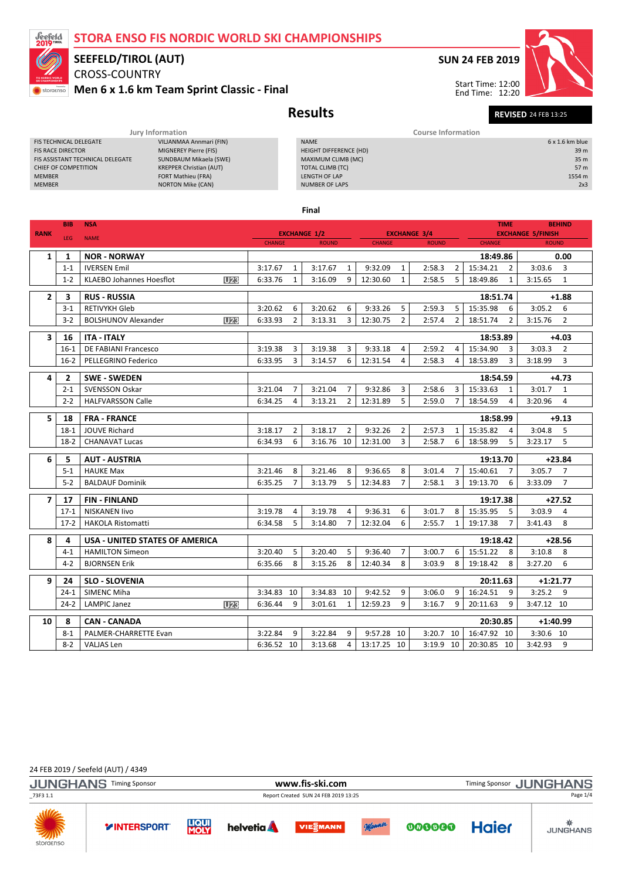### STORA ENSO FIS NORDIC WORLD SKI CHAMPIONSHIPS



# SEEFELD/TIROL (AUT)

### CROSS-COUNTRY Men 6 x 1.6 km Team Sprint Classic - Final

# SUN 24 FEB 2019

Start Time: 12:00 End Time: 12:20



Results Revised 24 FEB 13:25

|                                  | Jury Information               | <b>Course Information</b> |                 |  |  |  |
|----------------------------------|--------------------------------|---------------------------|-----------------|--|--|--|
| <b>FIS TECHNICAL DELEGATE</b>    | VILJANMAA Annmari (FIN)        | <b>NAME</b>               | $6x1.6km$ blue  |  |  |  |
| <b>FIS RACE DIRECTOR</b>         | MIGNEREY Pierre (FIS)          | HEIGHT DIFFERENCE (HD)    | 39 <sub>m</sub> |  |  |  |
| FIS ASSISTANT TECHNICAL DELEGATE | SUNDBAUM Mikaela (SWE)         | MAXIMUM CLIMB (MC)        | 35 m            |  |  |  |
| CHIEF OF COMPETITION             | <b>KREPPER Christian (AUT)</b> | TOTAL CLIMB (TC)          | 57 m            |  |  |  |
| <b>MEMBER</b>                    | <b>FORT Mathieu (FRA)</b>      | LENGTH OF LAP             | 1554 m          |  |  |  |
| <b>MEMBER</b>                    | <b>NORTON Mike (CAN)</b>       | <b>NUMBER OF LAPS</b>     | 2x3             |  |  |  |
|                                  |                                |                           |                 |  |  |  |

Final

| <b>RANK</b>    | <b>BIB</b>     | <b>NSA</b>                                         | <b>EXCHANGE 1/2</b>           |                |                               |                | <b>EXCHANGE 3/4</b> |                |              | <b>TIME</b><br><b>BEHIND</b><br><b>EXCHANGE 5/FINISH</b> |                            |            |                |
|----------------|----------------|----------------------------------------------------|-------------------------------|----------------|-------------------------------|----------------|---------------------|----------------|--------------|----------------------------------------------------------|----------------------------|------------|----------------|
|                | <b>LEG</b>     | <b>NAME</b>                                        | <b>CHANGE</b><br><b>ROUND</b> |                | <b>CHANGE</b><br><b>ROUND</b> |                |                     | <b>CHANGE</b>  | <b>ROUND</b> |                                                          |                            |            |                |
| 1              | 1              | <b>NOR - NORWAY</b>                                |                               |                |                               |                |                     |                |              |                                                          | 18:49.86                   |            | 0.00           |
|                | $1 - 1$        | <b>IVERSEN Emil</b>                                | 3:17.67                       | $\mathbf{1}$   | 3:17.67                       | $\mathbf{1}$   | 9:32.09             | $\mathbf{1}$   | 2:58.3       | 2                                                        | 15:34.21<br>$\overline{2}$ | 3:03.6     | $\overline{3}$ |
|                | $1 - 2$        | U <sub>23</sub><br><b>KLAEBO Johannes Hoesflot</b> | 6:33.76                       | 1              | 3:16.09                       | 9              | 12:30.60            | $\mathbf{1}$   | 2:58.5       | 5                                                        | 18:49.86<br>1              | 3:15.65    | 1              |
| $\mathbf{2}$   | 3              | <b>RUS - RUSSIA</b>                                |                               |                |                               |                |                     |                |              |                                                          | 18:51.74                   |            | $+1.88$        |
|                | $3-1$          | <b>RETIVYKH Gleb</b>                               | 3:20.62                       | 6              | 3:20.62                       | 6              | 9:33.26             | 5              | 2:59.3       | 5                                                        | 15:35.98<br>6              | 3:05.2     | 6              |
|                | $3 - 2$        | U <sub>23</sub><br><b>BOLSHUNOV Alexander</b>      | 6:33.93                       | 2              | 3:13.31                       | 3              | 12:30.75            | $\overline{2}$ | 2:57.4       | 2                                                        | $\overline{2}$<br>18:51.74 | 3:15.76    | $\overline{2}$ |
| 3              | 16             | <b>ITA - ITALY</b>                                 |                               |                |                               |                |                     |                |              |                                                          | 18:53.89                   | $+4.03$    |                |
|                | $16-1$         | <b>DE FABIANI Francesco</b>                        | 3:19.38                       | 3              | 3:19.38                       | 3              | 9:33.18             | 4              | 2:59.2       | 4                                                        | 15:34.90<br>3              | 3:03.3     | $\overline{2}$ |
|                | $16-2$         | PELLEGRINO Federico                                | 6:33.95                       | 3              | 3:14.57                       | 6              | 12:31.54            | 4              | 2:58.3       | 4                                                        | 18:53.89<br>3              | 3:18.99    | 3              |
| 4              | $\overline{2}$ | <b>SWE - SWEDEN</b>                                |                               |                |                               |                |                     |                |              |                                                          | 18:54.59                   |            | $+4.73$        |
|                | $2 - 1$        | <b>SVENSSON Oskar</b>                              | 3:21.04                       | 7              | 3:21.04                       | 7              | 9:32.86             | 3              | 2:58.6       | 3                                                        | 15:33.63<br>1              | 3:01.7     | 1              |
|                | $2 - 2$        | <b>HALFVARSSON Calle</b>                           | 6:34.25                       | 4              | 3:13.21                       | $\overline{2}$ | 12:31.89            | 5              | 2:59.0       | $\overline{7}$                                           | 18:54.59<br>4              | 3:20.96    | $\overline{4}$ |
|                |                |                                                    |                               |                |                               |                |                     |                |              |                                                          |                            |            |                |
| 5              | 18             | <b>FRA - FRANCE</b>                                |                               |                |                               |                |                     |                |              |                                                          | 18:58.99                   |            | $+9.13$        |
|                | $18-1$         | <b>JOUVE Richard</b>                               | 3:18.17                       | $\overline{2}$ | 3:18.17                       | $\overline{2}$ | 9:32.26             | $\overline{2}$ | 2:57.3       | $\mathbf{1}$                                             | 15:35.82<br>4              | 3:04.8     | 5              |
|                | $18-2$         | <b>CHANAVAT Lucas</b>                              | 6:34.93                       | 6              | 3:16.76                       | 10             | 12:31.00            | 3              | 2:58.7       | 6                                                        | 18:58.99<br>5              | 3:23.17    | 5              |
| 6              | 5              | <b>AUT - AUSTRIA</b>                               |                               |                |                               |                |                     |                |              |                                                          | 19:13.70                   |            | $+23.84$       |
|                | $5 - 1$        | <b>HAUKE Max</b>                                   | 3:21.46                       | 8              | 3:21.46                       | 8              | 9:36.65             | 8              | 3:01.4       | $\overline{7}$                                           | 15:40.61<br>$\overline{7}$ | 3:05.7     | $\overline{7}$ |
|                | $5 - 2$        | <b>BALDAUF Dominik</b>                             | 6:35.25                       | 7              | 3:13.79                       | 5              | 12:34.83            | $\overline{7}$ | 2:58.1       | 3                                                        | 6<br>19:13.70              | 3:33.09    | $\overline{7}$ |
| $\overline{7}$ | 17             | <b>FIN-FINLAND</b>                                 |                               |                |                               |                |                     |                |              |                                                          | 19:17.38                   |            | $+27.52$       |
|                | $17-1$         | <b>NISKANEN livo</b>                               | 3:19.78                       | 4              | 3:19.78                       | 4              | 9:36.31             | 6              | 3:01.7       | 8                                                        | 15:35.95<br>5              | 3:03.9     | 4              |
|                | $17-2$         | <b>HAKOLA Ristomatti</b>                           | 6:34.58                       | 5              | 3:14.80                       | 7              | 12:32.04            | 6              | 2:55.7       | $\mathbf{1}$                                             | 19:17.38<br>7              | 3:41.43    | 8              |
| 8              | 4              | <b>USA - UNITED STATES OF AMERICA</b>              |                               |                |                               |                |                     |                |              |                                                          | 19:18.42                   |            | $+28.56$       |
|                | $4 - 1$        | <b>HAMILTON Simeon</b>                             | 3:20.40                       | 5              | 3:20.40                       | 5              | 9:36.40             | $\overline{7}$ | 3:00.7       | 6                                                        | 15:51.22<br>8              | 3:10.8     | 8              |
|                | $4 - 2$        | <b>BJORNSEN Erik</b>                               | 6:35.66                       | 8              | 3:15.26                       | 8              | 12:40.34            | 8              | 3:03.9       | 8                                                        | 19:18.42<br>8              | 3:27.20    | 6              |
| 9              |                |                                                    |                               |                |                               |                |                     |                | $+1:21.77$   |                                                          |                            |            |                |
|                | 24<br>$24-1$   | <b>SLO - SLOVENIA</b><br><b>SIMENC Miha</b>        | 3:34.83                       | 10             | 3:34.83                       | 10             | 9:42.52             | 9              | 3:06.0       | 9                                                        | 20:11.63<br>16:24.51<br>9  | 3:25.2     | 9              |
|                | $24 - 2$       | <b>LAMPIC Janez</b><br>U <sub>23</sub>             | 6:36.44                       | 9              | 3:01.61                       | $\mathbf{1}$   | 12:59.23            | 9              | 3:16.7       | 9                                                        | 20:11.63<br>9              | 3:47.12 10 |                |
|                |                |                                                    |                               |                |                               |                |                     |                |              |                                                          |                            |            |                |
| 10             | 8              | <b>CAN - CANADA</b>                                |                               |                |                               |                |                     |                |              |                                                          | 20:30.85                   | $+1:40.99$ |                |
|                | $8 - 1$        | PALMER-CHARRETTE Evan                              | 3:22.84                       | 9              | 3:22.84                       | 9              | 9:57.28             | 10             | 3:20.7 10    |                                                          | 16:47.92 10                | 3:30.6 10  |                |
|                | $8 - 2$        | <b>VALJAS Len</b>                                  | 6:36.52                       | 10             | 3:13.68                       | 4              | 13:17.25            | 10             | $3:19.9$ 10  |                                                          | 20:30.85 10                | 3:42.93    | 9              |

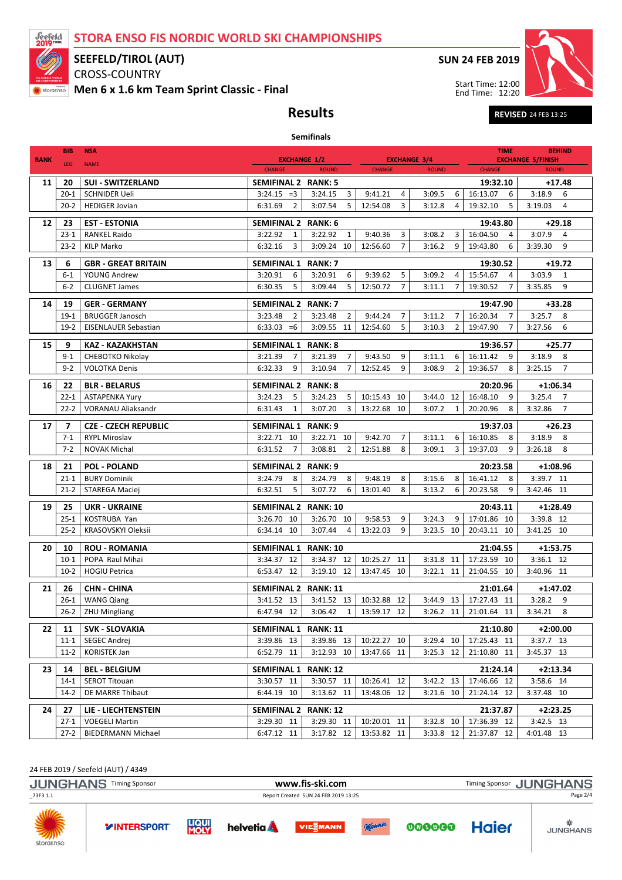STORA ENSO FIS NORDIC WORLD SKI CHAMPIONSHIPS



## SEEFELD/TIROL (AUT)

CROSS-COUNTRY Men 6 x 1.6 km Team Sprint Classic - Final SUN 24 FEB 2019



Results Revised 24 FEB 13:25

|             | <b>BIB</b>              |                                          |                                                                 |                                     |                                      |                                         |                                |                                          |  |
|-------------|-------------------------|------------------------------------------|-----------------------------------------------------------------|-------------------------------------|--------------------------------------|-----------------------------------------|--------------------------------|------------------------------------------|--|
|             |                         | <b>NSA</b>                               |                                                                 |                                     |                                      |                                         |                                | <b>TIME</b><br><b>BEHIND</b>             |  |
| <b>RANK</b> | LEG                     | <b>NAME</b>                              | <b>EXCHANGE 1/2</b><br><b>CHANGE</b>                            | <b>ROUND</b>                        | <b>EXCHANGE 3/4</b><br><b>CHANGE</b> | <b>ROUND</b>                            | <b>CHANGE</b>                  | <b>EXCHANGE 5/FINISH</b><br><b>ROUND</b> |  |
| 11          | 20                      | <b>SUI - SWITZERLAND</b>                 | SEMIFINAL 2 RANK: 5                                             |                                     |                                      |                                         | 19:32.10                       | $+17.48$                                 |  |
|             | $20 - 1$                | <b>SCHNIDER Ueli</b>                     | $3:24.15 = 3$                                                   | 3:24.15<br>3                        | 9:41.21<br>4                         | 3:09.5<br>6                             | 16:13.07<br>6                  | 3:18.9<br>6                              |  |
|             | $20 - 2$                | <b>HEDIGER Jovian</b>                    | 6:31.69<br>2                                                    | 3:07.54<br>5                        | 12:54.08<br>3                        | 3:12.8<br>4                             | 5<br>19:32.10                  | 4<br>3:19.03                             |  |
| 12          | 23                      | <b>EST - ESTONIA</b>                     | <b>SEMIFINAL 2 RANK: 6</b>                                      |                                     |                                      |                                         | 19:43.80                       | $+29.18$                                 |  |
|             | $23-1$                  | <b>RANKEL Raido</b>                      | 3:22.92<br>1                                                    | 3:22.92<br>$\mathbf{1}$             | 9:40.36<br>3                         | 3:08.2<br>3                             | 16:04.50<br>4                  | 3:07.9<br>4                              |  |
|             | $23 - 2$                | <b>KILP Marko</b>                        | 6:32.16<br>3                                                    | 3:09.24 10                          | 12:56.60<br>$\overline{7}$           | 3:16.2<br>9                             | 19:43.80<br>6                  | 3:39.30<br>9                             |  |
| 13          | 6                       | <b>GBR - GREAT BRITAIN</b>               | SEMIFINAL 1 RANK: 7                                             | $+19.72$                            |                                      |                                         |                                |                                          |  |
|             | $6 - 1$                 | YOUNG Andrew                             | 3:20.91<br>6                                                    | 3:20.91<br>6                        | 9:39.62<br>5                         | 3:09.2<br>4                             | 19:30.52<br>15:54.67<br>4      | 3:03.9<br>1                              |  |
|             | $6-2$                   | <b>CLUGNET James</b>                     | 5<br>6:30.35                                                    | 3:09.44<br>5                        | 12:50.72<br>$\overline{7}$           | 3:11.1<br>$\overline{7}$                | $\overline{7}$<br>19:30.52     | 9<br>3:35.85                             |  |
| 14          | 19                      | <b>GER - GERMANY</b>                     | SEMIFINAL 2 RANK: 7                                             |                                     |                                      |                                         | 19:47.90                       | $+33.28$                                 |  |
|             | $19-1$                  | <b>BRUGGER Janosch</b>                   | 3:23.48<br>2                                                    | $\overline{2}$<br>3:23.48           | 9:44.24<br>7                         | 3:11.2<br>7                             | 16:20.34<br>7                  | 8<br>3:25.7                              |  |
|             | $19-2$                  | <b>EISENLAUER Sebastian</b>              | $6:33.03 = 6$                                                   | 3:09.55 11                          | 12:54.60<br>5                        | 3:10.3<br>$\overline{2}$                | 19:47.90<br>7                  | 3:27.56<br>6                             |  |
|             |                         |                                          |                                                                 |                                     |                                      |                                         |                                |                                          |  |
| 15          | 9                       | <b>KAZ - KAZAKHSTAN</b>                  | <b>SEMIFINAL 1</b>                                              | <b>RANK: 8</b>                      |                                      |                                         | 19:36.57                       | $+25.77$                                 |  |
|             | $9 - 1$<br>$9 - 2$      | CHEBOTKO Nikolay<br><b>VOLOTKA Denis</b> | 3:21.39<br>7<br>9<br>6:32.33                                    | 3:21.39<br>7<br>7<br>3:10.94        | 9:43.50<br>9<br>12:52.45<br>9        | 3:11.1<br>6<br>$\overline{2}$<br>3:08.9 | 16:11.42<br>9<br>8<br>19:36.57 | 3:18.9<br>8<br>$\overline{7}$<br>3:25.15 |  |
|             |                         |                                          |                                                                 |                                     |                                      |                                         |                                |                                          |  |
| 16          | 22                      | <b>BLR - BELARUS</b>                     | <b>SEMIFINAL 2</b>                                              | <b>RANK: 8</b>                      |                                      |                                         | 20:20.96                       | $+1:06.34$                               |  |
|             | $22 - 1$                | <b>ASTAPENKA Yury</b>                    | 3:24.23<br>5                                                    | 3:24.23<br>5                        | 10:15.43<br>10                       | 3:44.0<br>12                            | 16:48.10<br>9                  | 3:25.4<br>$\overline{7}$                 |  |
|             | $22 - 2$                | <b>VORANAU Aliaksandr</b>                | 6:31.43<br>$\mathbf{1}$                                         | 3:07.20<br>3                        | 13:22.68 10                          | 3:07.2<br>1                             | 20:20.96<br>8                  | $\overline{7}$<br>3:32.86                |  |
| 17          | $\overline{\mathbf{z}}$ | <b>CZE - CZECH REPUBLIC</b>              | <b>SEMIFINAL 1 RANK: 9</b>                                      |                                     |                                      |                                         | 19:37.03                       | $+26.23$                                 |  |
|             | $7 - 1$                 | <b>RYPL Miroslav</b>                     | 3:22.71 10                                                      | 3:22.71 10                          | 9:42.70<br>7                         | 3:11.1<br>6                             | 16:10.85<br>8                  | 3:18.9<br>8                              |  |
|             | $7 - 2$                 | <b>NOVAK Michal</b>                      | 6:31.52<br>$\overline{7}$                                       | 3:08.81<br>2                        | 12:51.88<br>8                        | 3:09.1<br>3                             | 9<br>19:37.03                  | 8<br>3:26.18                             |  |
| 18          | 21                      | <b>POL - POLAND</b>                      | <b>SEMIFINAL 2</b>                                              | RANK: 9                             |                                      |                                         | 20:23.58                       | $+1:08.96$                               |  |
|             | $21 - 1$                | <b>BURY Dominik</b>                      | 3:24.79<br>8                                                    | 3:24.79<br>8                        | 9:48.19<br>8                         | 3:15.6<br>8                             | 16:41.12<br>8                  | 3:39.7 11                                |  |
|             | 21-2                    | STAREGA Maciej                           | 6:32.51<br>5                                                    | 3:07.72<br>6                        | 13:01.40<br>8                        | 6<br>3:13.2                             | 20:23.58<br>9                  | 3:42.46 11                               |  |
| 19          | 25                      | <b>UKR - UKRAINE</b>                     | <b>SEMIFINAL 2</b>                                              | <b>RANK: 10</b>                     |                                      |                                         | 20:43.11                       | $+1:28.49$                               |  |
|             | $25 - 1$                | KOSTRUBA Yan                             | 3:26.70 10                                                      | 3:26.70 10                          | 9:58.53<br>9                         | 3:24.3<br>9                             | 17:01.86 10                    | 3:39.8 12                                |  |
|             | $25 - 2$                | KRASOVSKYI Oleksii                       | 6:34.14 10                                                      | 3:07.44<br>4                        | 13:22.03<br>9                        | 3:23.5 10                               | 20:43.11 10                    | 3:41.25 10                               |  |
| 20          | 10                      | <b>ROU - ROMANIA</b>                     | <b>SEMIFINAL 1</b>                                              | <b>RANK: 10</b>                     |                                      |                                         | 21:04.55                       | $+1:53.75$                               |  |
|             | $10-1$                  | POPA Raul Mihai                          | 3:34.37 12                                                      | 3:34.37 12                          | 10:25.27<br>11                       | 3:31.8 11                               | 17:23.59 10                    | 3:36.1 12                                |  |
|             | $10-2$                  | <b>HOGIU Petrica</b>                     | 6:53.47 12                                                      | 3:19.10 12                          | 13:47.45 10                          | 3:22.1 11                               | 21:04.55 10                    | 3:40.96 11                               |  |
| 21          | 26                      | <b>CHN - CHINA</b>                       | SEMIFINAL 2 RANK: 11                                            |                                     |                                      |                                         | 21:01.64                       | +1:47.02                                 |  |
|             | $26-1$                  | <b>WANG Qiang</b>                        |                                                                 | $3:41.52$ 13 3:41.52 13 10:32.88 12 |                                      | $3:44.9$ 13 17:27.43 11                 |                                | $3:28.2$ 9                               |  |
|             | 26-2                    | <b>ZHU Mingliang</b>                     | 6:47.94 12                                                      | 3:06.42<br>1                        | 13:59.17 12                          | 3:26.2 11                               | 21:01.64 11                    | 8<br>3:34.21                             |  |
| 22          | 11                      | <b>SVK - SLOVAKIA</b>                    | <b>SEMIFINAL 1</b><br><b>RANK: 11</b><br>21:10.80<br>$+2:00.00$ |                                     |                                      |                                         |                                |                                          |  |
|             | $11 - 1$                | <b>SEGEC Andrej</b>                      | 3:39.86 13                                                      | 3:39.86 13                          | 10:22.27 10                          | 3:29.4 10                               | 17:25.43 11                    | 3:37.7 13                                |  |
|             | $11-2$                  | KORISTEK Jan                             | 6:52.79 11                                                      | 3:12.93 10                          | 13:47.66 11                          | 3:25.3 12                               | 21:10.80 11                    | 3:45.37 13                               |  |
| 23          | 14                      | <b>BEL - BELGIUM</b>                     | <b>SEMIFINAL 1</b>                                              | <b>RANK: 12</b>                     |                                      |                                         | 21:24.14                       | $+2:13.34$                               |  |
|             | $14-1$                  | <b>SEROT Titouan</b>                     | 3:30.57 11                                                      | 3:30.57 11                          | 10:26.41 12                          | 3:42.2 13                               | 17:46.66 12                    | 3:58.6 14                                |  |
|             | $14-2$                  | DE MARRE Thibaut                         | 6:44.19 10                                                      | 3:13.62 11                          | 13:48.06 12                          | 3:21.6 10                               | 21:24.14 12                    | 3:37.48 10                               |  |
| 24          | 27                      | <b>LIE - LIECHTENSTEIN</b>               | SEMIFINAL 2 RANK: 12                                            |                                     |                                      |                                         | 21:37.87                       | $+2:23.25$                               |  |
|             | $27-1$                  | <b>VOEGELI Martin</b>                    | 3:29.30 11                                                      | 3:29.30 11                          | 10:20.01 11                          | 3:32.8 10                               | 17:36.39 12                    | 3:42.5 13                                |  |
|             | $27-2$                  | <b>BIEDERMANN Michael</b>                | 6:47.12 11                                                      | 3:17.82 12                          | 13:53.82 11                          | 3:33.8 12                               | 21:37.87 12                    | 4:01.48 13                               |  |

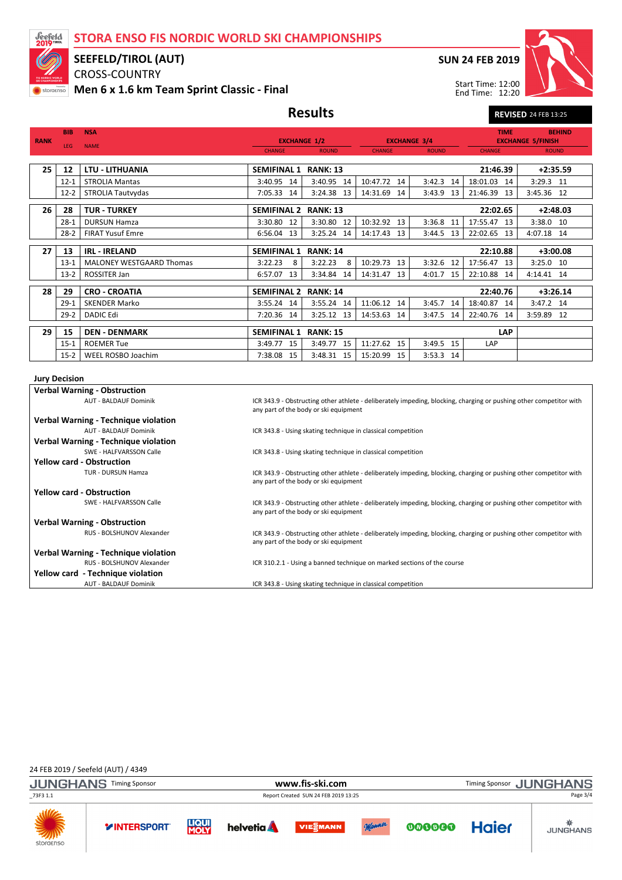STORA ENSO FIS NORDIC WORLD SKI CHAMPIONSHIPS



### SEEFELD/TIROL (AUT)

CROSS-COUNTRY Men 6 x 1.6 km Team Sprint Classic - Final SUN 24 FEB 2019

Start Time: 12:00 End Time: 12:20



Results REVISED 24 FEB 13:25

|             | <b>BIB</b>                                                                                                                                                                               | <b>NSA</b>                                  |                                                                                                                                                             |                                                      |                                                                         |                                     | <b>TIME</b>   | <b>BEHIND</b>                                                                                                      |  |  |
|-------------|------------------------------------------------------------------------------------------------------------------------------------------------------------------------------------------|---------------------------------------------|-------------------------------------------------------------------------------------------------------------------------------------------------------------|------------------------------------------------------|-------------------------------------------------------------------------|-------------------------------------|---------------|--------------------------------------------------------------------------------------------------------------------|--|--|
| <b>RANK</b> | LEG                                                                                                                                                                                      | <b>NAME</b>                                 |                                                                                                                                                             | <b>EXCHANGE 1/2</b><br><b>CHANGE</b><br><b>ROUND</b> |                                                                         | <b>EXCHANGE 3/4</b><br><b>ROUND</b> | <b>CHANGE</b> | <b>EXCHANGE 5/FINISH</b><br><b>ROUND</b>                                                                           |  |  |
|             |                                                                                                                                                                                          |                                             |                                                                                                                                                             |                                                      | <b>CHANGE</b>                                                           |                                     |               |                                                                                                                    |  |  |
| 25          | 12                                                                                                                                                                                       | <b>LTU - LITHUANIA</b>                      | SEMIFINAL 1 RANK: 13                                                                                                                                        |                                                      |                                                                         |                                     | 21:46.39      | $+2:35.59$                                                                                                         |  |  |
|             | $12 - 1$                                                                                                                                                                                 | <b>STROLIA Mantas</b>                       | 3:40.95 14                                                                                                                                                  | 3:40.95 14                                           | 10:47.72 14                                                             | 3:42.3 14                           | 18:01.03 14   | $3:29.3$ 11                                                                                                        |  |  |
|             | $12 - 2$                                                                                                                                                                                 | STROLIA Tautvydas                           | 7:05.33 14                                                                                                                                                  | 3:24.38 13                                           | 14:31.69 14                                                             | 3:43.9 13                           | 21:46.39 13   | 3:45.36 12                                                                                                         |  |  |
| 26          | 28                                                                                                                                                                                       | <b>TUR - TURKEY</b>                         | SEMIFINAL 2 RANK: 13                                                                                                                                        |                                                      |                                                                         |                                     | 22:02.65      | $+2:48.03$                                                                                                         |  |  |
|             | $28-1$                                                                                                                                                                                   | <b>DURSUN Hamza</b>                         | 3:30.80 12                                                                                                                                                  | 3:30.80 12                                           | 10:32.92 13                                                             | 3:36.8 11                           | 17:55.47 13   | 3:38.0 10                                                                                                          |  |  |
|             | $28-2$                                                                                                                                                                                   | <b>FIRAT Yusuf Emre</b>                     | 6:56.04 13                                                                                                                                                  | 3:25.24 14                                           | 14:17.43 13                                                             | 3:44.5 13                           | 22:02.65 13   | 4:07.18 14                                                                                                         |  |  |
| 27          | 13                                                                                                                                                                                       | <b>IRL - IRELAND</b>                        | <b>SEMIFINAL 1</b>                                                                                                                                          | <b>RANK: 14</b>                                      |                                                                         |                                     | 22:10.88      | $+3:00.08$                                                                                                         |  |  |
|             | $13-1$                                                                                                                                                                                   | <b>MALONEY WESTGAARD Thomas</b>             | 3:22.23<br>8                                                                                                                                                | 3:22.23<br>- 8                                       | 10:29.73 13                                                             | 3:32.6 12                           | 17:56.47 13   | 3:25.0 10                                                                                                          |  |  |
|             | $13-2$                                                                                                                                                                                   | ROSSITER Jan                                | 6:57.07 13                                                                                                                                                  | 3:34.84 14                                           | 14:31.47<br>13                                                          | 4:01.7 15                           | 22:10.88 14   | 4:14.41 14                                                                                                         |  |  |
| 28          | 29                                                                                                                                                                                       | <b>CRO - CROATIA</b>                        | SEMIFINAL 2 RANK: 14                                                                                                                                        |                                                      |                                                                         |                                     | 22:40.76      | $+3:26.14$                                                                                                         |  |  |
|             | $29-1$                                                                                                                                                                                   | <b>SKENDER Marko</b>                        | 3:55.24 14                                                                                                                                                  | 3:55.24 14                                           | 11:06.12 14                                                             | 3:45.7 14                           | 18:40.87 14   | 3:47.2 14                                                                                                          |  |  |
|             | $29-2$                                                                                                                                                                                   | <b>DADIC Edi</b>                            | 7:20.36 14                                                                                                                                                  | 3:25.12 13                                           | 14:53.63 14                                                             | 3:47.5 14                           | 22:40.76 14   | 3:59.89 12                                                                                                         |  |  |
|             |                                                                                                                                                                                          |                                             |                                                                                                                                                             |                                                      |                                                                         |                                     |               |                                                                                                                    |  |  |
| 29          | 15                                                                                                                                                                                       | <b>DEN - DENMARK</b>                        | <b>SEMIFINAL 1</b>                                                                                                                                          | <b>RANK: 15</b>                                      |                                                                         |                                     | <b>LAP</b>    |                                                                                                                    |  |  |
|             | $15 - 1$                                                                                                                                                                                 | <b>ROEMER Tue</b>                           | 3:49.77 15                                                                                                                                                  | 3:49.77 15                                           | 11:27.62 15                                                             | 3:49.5 15                           | LAP           |                                                                                                                    |  |  |
|             | $15-2$                                                                                                                                                                                   | WEEL ROSBO Joachim                          | 7:38.08 15                                                                                                                                                  | 3:48.31 15                                           | 15:20.99 15                                                             | 3:53.3 14                           |               |                                                                                                                    |  |  |
|             | <b>Jury Decision</b>                                                                                                                                                                     |                                             |                                                                                                                                                             |                                                      |                                                                         |                                     |               |                                                                                                                    |  |  |
|             |                                                                                                                                                                                          | <b>Verbal Warning - Obstruction</b>         |                                                                                                                                                             |                                                      |                                                                         |                                     |               |                                                                                                                    |  |  |
|             |                                                                                                                                                                                          | <b>AUT - BALDAUF Dominik</b>                |                                                                                                                                                             | any part of the body or ski equipment                |                                                                         |                                     |               | ICR 343.9 - Obstructing other athlete - deliberately impeding, blocking, charging or pushing other competitor with |  |  |
|             |                                                                                                                                                                                          | Verbal Warning - Technique violation        |                                                                                                                                                             |                                                      |                                                                         |                                     |               |                                                                                                                    |  |  |
|             | <b>AUT - BALDAUF Dominik</b><br>ICR 343.8 - Using skating technique in classical competition                                                                                             |                                             |                                                                                                                                                             |                                                      |                                                                         |                                     |               |                                                                                                                    |  |  |
|             |                                                                                                                                                                                          | Verbal Warning - Technique violation        |                                                                                                                                                             |                                                      |                                                                         |                                     |               |                                                                                                                    |  |  |
|             |                                                                                                                                                                                          | SWE - HALFVARSSON Calle                     |                                                                                                                                                             |                                                      | ICR 343.8 - Using skating technique in classical competition            |                                     |               |                                                                                                                    |  |  |
|             |                                                                                                                                                                                          | <b>Yellow card - Obstruction</b>            |                                                                                                                                                             |                                                      |                                                                         |                                     |               |                                                                                                                    |  |  |
|             | <b>TUR - DURSUN Hamza</b><br>ICR 343.9 - Obstructing other athlete - deliberately impeding, blocking, charging or pushing other competitor with<br>any part of the body or ski equipment |                                             |                                                                                                                                                             |                                                      |                                                                         |                                     |               |                                                                                                                    |  |  |
|             |                                                                                                                                                                                          | <b>Yellow card - Obstruction</b>            |                                                                                                                                                             |                                                      |                                                                         |                                     |               |                                                                                                                    |  |  |
|             |                                                                                                                                                                                          | SWE - HALFVARSSON Calle                     | ICR 343.9 - Obstructing other athlete - deliberately impeding, blocking, charging or pushing other competitor with<br>any part of the body or ski equipment |                                                      |                                                                         |                                     |               |                                                                                                                    |  |  |
|             |                                                                                                                                                                                          | <b>Verbal Warning - Obstruction</b>         |                                                                                                                                                             |                                                      |                                                                         |                                     |               |                                                                                                                    |  |  |
|             | RUS - BOLSHUNOV Alexander<br>ICR 343.9 - Obstructing other athlete - deliberately impeding, blocking, charging or pushing other competitor with<br>any part of the body or ski equipment |                                             |                                                                                                                                                             |                                                      |                                                                         |                                     |               |                                                                                                                    |  |  |
|             |                                                                                                                                                                                          | <b>Verbal Warning - Technique violation</b> |                                                                                                                                                             |                                                      |                                                                         |                                     |               |                                                                                                                    |  |  |
|             |                                                                                                                                                                                          | RUS - BOLSHUNOV Alexander                   |                                                                                                                                                             |                                                      | ICR 310.2.1 - Using a banned technique on marked sections of the course |                                     |               |                                                                                                                    |  |  |
|             |                                                                                                                                                                                          | Yellow card - Technique violation           |                                                                                                                                                             |                                                      |                                                                         |                                     |               |                                                                                                                    |  |  |
|             |                                                                                                                                                                                          | <b>AUT - BALDAUF Dominik</b>                | ICR 343.8 - Using skating technique in classical competition                                                                                                |                                                      |                                                                         |                                     |               |                                                                                                                    |  |  |